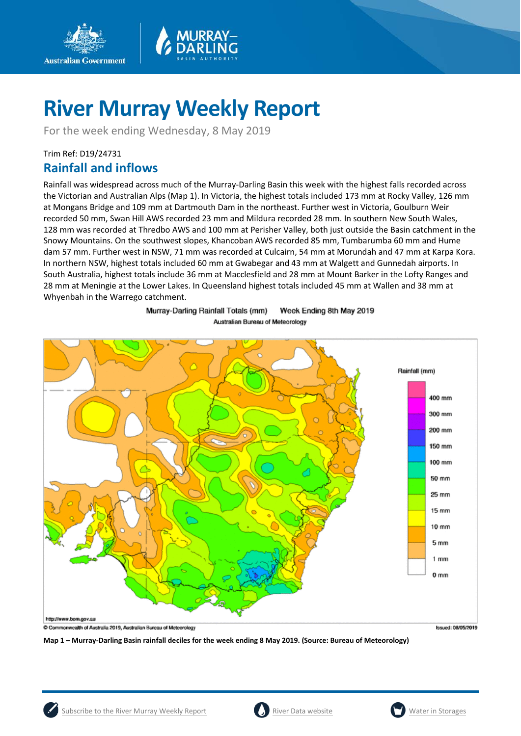

For the week ending Wednesday, 8 May 2019

## Trim Ref: D19/24731

**Australian Government** 

# **Rainfall and inflows**

Rainfall was widespread across much of the Murray-Darling Basin this week with the highest falls recorded across the Victorian and Australian Alps (Map 1). In Victoria, the highest totals included 173 mm at Rocky Valley, 126 mm at Mongans Bridge and 109 mm at Dartmouth Dam in the northeast. Further west in Victoria, Goulburn Weir recorded 50 mm, Swan Hill AWS recorded 23 mm and Mildura recorded 28 mm. In southern New South Wales, 128 mm was recorded at Thredbo AWS and 100 mm at Perisher Valley, both just outside the Basin catchment in the Snowy Mountains. On the southwest slopes, Khancoban AWS recorded 85 mm, Tumbarumba 60 mm and Hume dam 57 mm. Further west in NSW, 71 mm was recorded at Culcairn, 54 mm at Morundah and 47 mm at Karpa Kora. In northern NSW, highest totals included 60 mm at Gwabegar and 43 mm at Walgett and Gunnedah airports. In South Australia, highest totals include 36 mm at Macclesfield and 28 mm at Mount Barker in the Lofty Ranges and 28 mm at Meningie at the Lower Lakes. In Queensland highest totals included 45 mm at Wallen and 38 mm at Whyenbah in the Warrego catchment.

> Murray-Darling Rainfall Totals (mm) Week Ending 8th May 2019 Australian Bureau of Meteorology



**Map 1 – Murray-Darling Basin rainfall deciles for the week ending 8 May 2019. (Source: Bureau of Meteorology)**

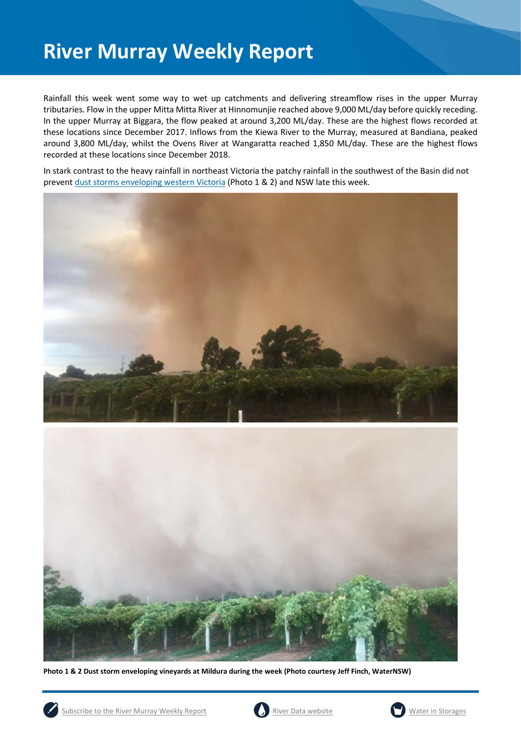Rainfall this week went some way to wet up catchments and delivering streamflow rises in the upper Murray tributaries. Flow in the upper Mitta Mitta River at Hinnomunjie reached above 9,000 ML/day before quickly receding. In the upper Murray at Biggara, the flow peaked at around 3,200 ML/day. These are the highest flows recorded at these locations since December 2017. Inflows from the Kiewa River to the Murray, measured at Bandiana, peaked around 3,800 ML/day, whilst the Ovens River at Wangaratta reached 1,850 ML/day. These are the highest flows recorded at these locations since December 2018.

In stark contrast to the heavy rainfall in northeast Victoria the patchy rainfall in the southwest of the Basin did not preven[t dust storms enveloping western Victoria](http://www.sunraysiadaily.com.au/story/6113332/mildura-dust-storm-storm-a-surprise-to-weather-experts/) (Photo 1 & 2) and NSW late this week.





**Photo 1 & 2 Dust storm enveloping vineyards at Mildura during the week (Photo courtesy Jeff Finch, WaterNSW)**





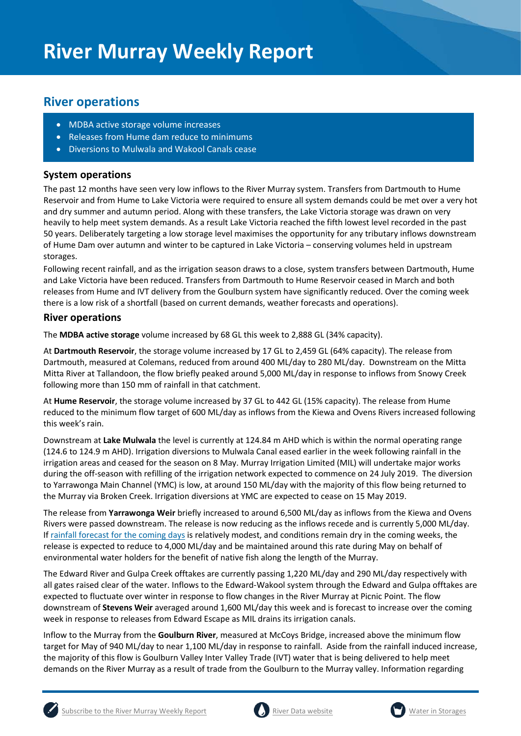# **River operations**

- MDBA active storage volume increases
- Releases from Hume dam reduce to minimums
- Diversions to Mulwala and Wakool Canals cease

## **System operations**

The past 12 months have seen very low inflows to the River Murray system. Transfers from Dartmouth to Hume Reservoir and from Hume to Lake Victoria were required to ensure all system demands could be met over a very hot and dry summer and autumn period. Along with these transfers, the Lake Victoria storage was drawn on very heavily to help meet system demands. As a result Lake Victoria reached the fifth lowest level recorded in the past 50 years. Deliberately targeting a low storage level maximises the opportunity for any tributary inflows downstream of Hume Dam over autumn and winter to be captured in Lake Victoria – conserving volumes held in upstream storages.

Following recent rainfall, and as the irrigation season draws to a close, system transfers between Dartmouth, Hume and Lake Victoria have been reduced. Transfers from Dartmouth to Hume Reservoir ceased in March and both releases from Hume and IVT delivery from the Goulburn system have significantly reduced. Over the coming week there is a low risk of a shortfall (based on current demands, weather forecasts and operations).

### **River operations**

The **MDBA active storage** volume increased by 68 GL this week to 2,888 GL (34% capacity).

At **Dartmouth Reservoir**, the storage volume increased by 17 GL to 2,459 GL (64% capacity). The release from Dartmouth, measured at Colemans, reduced from around 400 ML/day to 280 ML/day. Downstream on the Mitta Mitta River at Tallandoon, the flow briefly peaked around 5,000 ML/day in response to inflows from Snowy Creek following more than 150 mm of rainfall in that catchment.

At **Hume Reservoir**, the storage volume increased by 37 GL to 442 GL (15% capacity). The release from Hume reduced to the minimum flow target of 600 ML/day as inflows from the Kiewa and Ovens Rivers increased following this week's rain.

Downstream at **Lake Mulwala** the level is currently at 124.84 m AHD which is within the normal operating range (124.6 to 124.9 m AHD). Irrigation diversions to Mulwala Canal eased earlier in the week following rainfall in the irrigation areas and ceased for the season on 8 May. Murray Irrigation Limited (MIL) will undertake major works during the off-season with refilling of the irrigation network expected to commence on 24 July 2019. The diversion to Yarrawonga Main Channel (YMC) is low, at around 150 ML/day with the majority of this flow being returned to the Murray via Broken Creek. Irrigation diversions at YMC are expected to cease on 15 May 2019.

The release from **Yarrawonga Weir** briefly increased to around 6,500 ML/day as inflows from the Kiewa and Ovens Rivers were passed downstream. The release is now reducing as the inflows recede and is currently 5,000 ML/day. If [rainfall forecast for the coming days](http://www.bom.gov.au/jsp/watl/rainfall/pme.jsp) is relatively modest, and conditions remain dry in the coming weeks, the release is expected to reduce to 4,000 ML/day and be maintained around this rate during May on behalf of environmental water holders for the benefit of native fish along the length of the Murray.

The Edward River and Gulpa Creek offtakes are currently passing 1,220 ML/day and 290 ML/day respectively with all gates raised clear of the water. Inflows to the Edward-Wakool system through the Edward and Gulpa offtakes are expected to fluctuate over winter in response to flow changes in the River Murray at Picnic Point. The flow downstream of **Stevens Weir** averaged around 1,600 ML/day this week and is forecast to increase over the coming week in response to releases from Edward Escape as MIL drains its irrigation canals.

Inflow to the Murray from the **Goulburn River**, measured at McCoys Bridge, increased above the minimum flow target for May of 940 ML/day to near 1,100 ML/day in response to rainfall. Aside from the rainfall induced increase, the majority of this flow is Goulburn Valley Inter Valley Trade (IVT) water that is being delivered to help meet demands on the River Murray as a result of trade from the Goulburn to the Murray valley. Information regarding





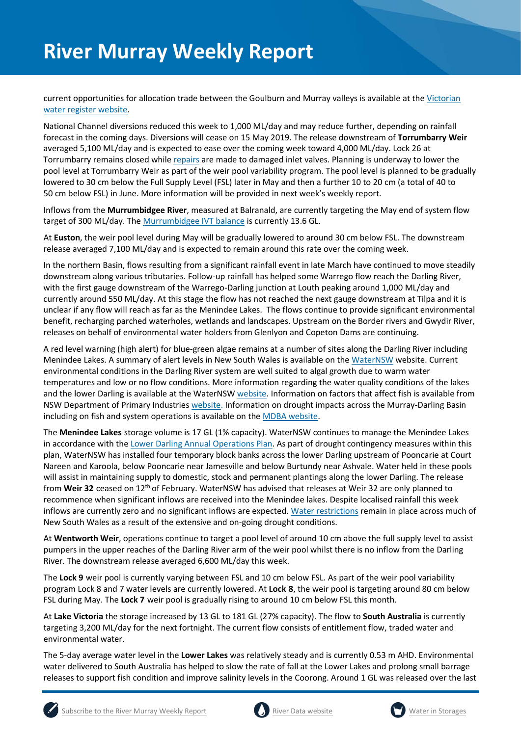current opportunities for allocation trade between the Goulburn and Murray valleys is available at the Victorian [water register website.](http://waterregister.vic.gov.au/water-trading/allocation-trading#AllocationTradeOpportunities)

National Channel diversions reduced this week to 1,000 ML/day and may reduce further, depending on rainfall forecast in the coming days. Diversions will cease on 15 May 2019. The release downstream of **Torrumbarry Weir** averaged 5,100 ML/day and is expected to ease over the coming week toward 4,000 ML/day. Lock 26 at Torrumbarry remains closed whil[e repairs](https://www.g-mwater.com.au/news/media-releases1/lock-26-emptied-while-repairs-assessed.html) are made to damaged inlet valves. Planning is underway to lower the pool level at Torrumbarry Weir as part of the weir pool variability program. The pool level is planned to be gradually lowered to 30 cm below the Full Supply Level (FSL) later in May and then a further 10 to 20 cm (a total of 40 to 50 cm below FSL) in June. More information will be provided in next week's weekly report.

Inflows from the **Murrumbidgee River**, measured at Balranald, are currently targeting the May end of system flow target of 300 ML/day. Th[e Murrumbidgee IVT](http://www.waternsw.com.au/customer-service/ordering-trading-and-pricing/trading/murrumbidgee) balance is currently 13.6 GL.

At **Euston**, the weir pool level during May will be gradually lowered to around 30 cm below FSL. The downstream release averaged 7,100 ML/day and is expected to remain around this rate over the coming week.

In the northern Basin, flows resulting from a significant rainfall event in late March have continued to move steadily downstream along various tributaries. Follow-up rainfall has helped some Warrego flow reach the Darling River, with the first gauge downstream of the Warrego-Darling junction at Louth peaking around 1,000 ML/day and currently around 550 ML/day. At this stage the flow has not reached the next gauge downstream at Tilpa and it is unclear if any flow will reach as far as the Menindee Lakes. The flows continue to provide significant environmental benefit, recharging parched waterholes, wetlands and landscapes. Upstream on the Border rivers and Gwydir River, releases on behalf of environmental water holders from Glenlyon and Copeton Dams are continuing.

A red level warning (high alert) for blue-green algae remains at a number of sites along the Darling River including Menindee Lakes. A summary of alert levels in New South Wales is available on the [WaterNSW](https://www.waternsw.com.au/water-quality/algae) website. Current environmental conditions in the Darling River system are well suited to algal growth due to warm water temperatures and low or no flow conditions. More information regarding the water quality conditions of the lakes and the lower Darling is available at the WaterNSW [website.](https://www.waternsw.com.au/about/newsroom?queries_type_query=algal-alerts&search_page_111944_submit_button=Submit¤t_result_page=1&results_per_page=0&submitted_search_category=&mode=) Information on factors that affect fish is available from NSW Department of Primary Industries [website.](https://www.dpi.nsw.gov.au/fishing/habitat/threats/fish-kills) Information on drought impacts across the Murray-Darling Basin including on fish and system operations is available on the [MDBA website.](https://www.mdba.gov.au/managing-water/drought-murray-darling-basin)

The **Menindee Lakes** storage volume is 17 GL (1% capacity). WaterNSW continues to manage the Menindee Lakes in accordance with the [Lower Darling Annual Operations Plan.](https://www.waternsw.com.au/supply/regional-nsw/operations) As part of drought contingency measures within this plan, WaterNSW has installed four temporary block banks across the lower Darling upstream of Pooncarie at Court Nareen and Karoola, below Pooncarie near Jamesville and below Burtundy near Ashvale. Water held in these pools will assist in maintaining supply to domestic, stock and permanent plantings along the lower Darling. The release from **Weir 32** ceased on 12th of February. WaterNSW has advised that releases at Weir 32 are only planned to recommence when significant inflows are received into the Menindee lakes. Despite localised rainfall this week inflows are currently zero and no significant inflows are expected[. Water restrictions](https://www.waternsw.com.au/about/newsroom/2018/waternsw-confirms-restrictions-for-lower-darling-customers) remain in place across much of New South Wales as a result of the extensive and on-going drought conditions.

At **Wentworth Weir**, operations continue to target a pool level of around 10 cm above the full supply level to assist pumpers in the upper reaches of the Darling River arm of the weir pool whilst there is no inflow from the Darling River. The downstream release averaged 6,600 ML/day this week.

The **Lock 9** weir pool is currently varying between FSL and 10 cm below FSL. As part of the weir pool variability program Lock 8 and 7 water levels are currently lowered. At **Lock 8**, the weir pool is targeting around 80 cm below FSL during May. The **Lock 7** weir pool is gradually rising to around 10 cm below FSL this month.

At **Lake Victoria** the storage increased by 13 GL to 181 GL (27% capacity). The flow to **South Australia** is currently targeting 3,200 ML/day for the next fortnight. The current flow consists of entitlement flow, traded water and environmental water.

The 5-day average water level in the **Lower Lakes** was relatively steady and is currently 0.53 m AHD. Environmental water delivered to South Australia has helped to slow the rate of fall at the Lower Lakes and prolong small barrage releases to support fish condition and improve salinity levels in the Coorong. Around 1 GL was released over the last





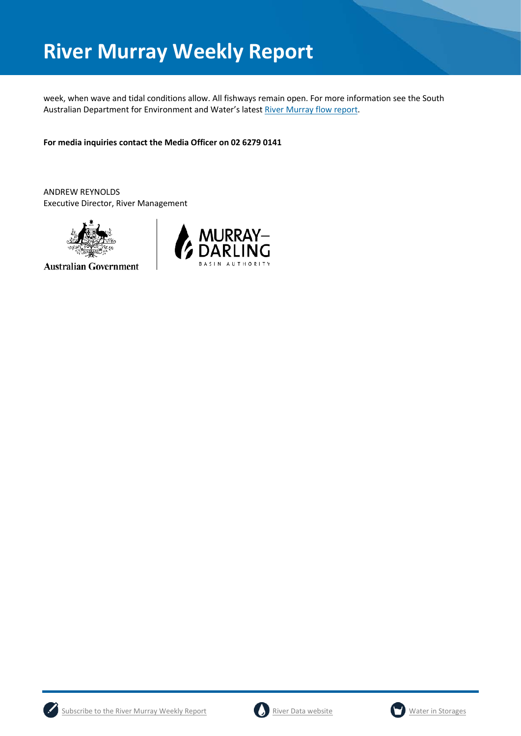week, when wave and tidal conditions allow. All fishways remain open. For more information see the South Australian Department for Environment and Water's lates[t River Murray flow report.](https://www.waterconnect.sa.gov.au/River-Murray/SitePages/2019%20Flow%20Reports.aspx)

**For media inquiries contact the Media Officer on 02 6279 0141**

ANDREW REYNOLDS Executive Director, River Management



**Australian Government** 







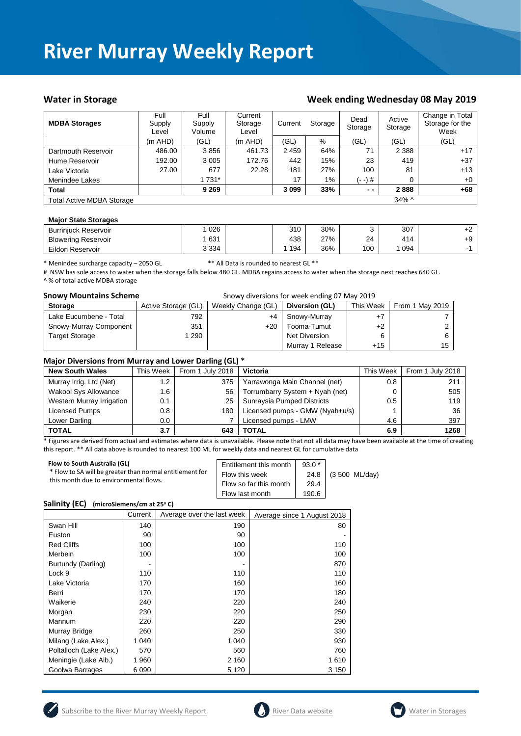### Water in Storage Water in Storage Week ending Wednesday 08 May 2019

| <b>MDBA Storages</b>             | Full<br>Supply<br>Level | Full<br>Supply<br>Volume | Current<br>Storage<br>Level | Current | Storage | Dead<br>Storage | Active<br>Storage | Change in Total<br>Storage for the<br>Week |
|----------------------------------|-------------------------|--------------------------|-----------------------------|---------|---------|-----------------|-------------------|--------------------------------------------|
|                                  | (m AHD)                 | (GL)                     | (m AHD)                     | (GL)    | %       | (GL)            | (GL)              | (GL)                                       |
| Dartmouth Reservoir              | 486.00                  | 3856                     | 461.73                      | 2459    | 64%     | 71              | 2 3 8 8           | $+17$                                      |
| Hume Reservoir                   | 192.00                  | 3 0 0 5                  | 172.76                      | 442     | 15%     | 23              | 419               | $+37$                                      |
| Lake Victoria                    | 27.00                   | 677                      | 22.28                       | 181     | 27%     | 100             | 81                | $+13$                                      |
| Menindee Lakes                   |                         | 1 731*                   |                             | 17      | 1%      | (- -) #         | 0                 | $+0$                                       |
| <b>Total</b>                     |                         | 9 2 6 9                  |                             | 3 0 9 9 | 33%     | $ -$            | 2888              | $+68$                                      |
| <b>Total Active MDBA Storage</b> |                         |                          |                             |         |         |                 | $34\%$ ^          |                                            |

#### **Major State Storages**

| <b>Burriniuck Reservoir</b> | 026     | 310 | 30% |     | 307 | . ^<br>tΖ |
|-----------------------------|---------|-----|-----|-----|-----|-----------|
| <b>Blowering Reservoir</b>  | 631     | 438 | 27% | 24  | 414 | +9        |
| Eildon Reservoir            | 3 3 3 4 | 194 | 36% | 100 | 094 |           |

\* Menindee surcharge capacity – 2050 GL \*\* All Data is rounded to nearest GL \*\*

# NSW has sole access to water when the storage falls below 480 GL. MDBA regains access to water when the storage next reaches 640 GL. ^ % of total active MDBA storage

| <b>Snowy Mountains Scheme</b> | Snowy diversions for week ending 07 May 2019 |                    |                  |           |                 |  |  |
|-------------------------------|----------------------------------------------|--------------------|------------------|-----------|-----------------|--|--|
| <b>Storage</b>                | Active Storage (GL)                          | Weekly Change (GL) | Diversion (GL)   | This Week | From 1 May 2019 |  |  |
| Lake Eucumbene - Total        | 792                                          | +4                 | Snowy-Murray     | $+7$      |                 |  |  |
| Snowy-Murray Component        | 351                                          | $+20$              | Tooma-Tumut      | $+2$      |                 |  |  |
| <b>Target Storage</b>         | 290                                          |                    | Net Diversion    | 6         |                 |  |  |
|                               |                                              |                    | Murray 1 Release | $+15$     | 15              |  |  |

#### **Major Diversions from Murray and Lower Darling (GL) \***

| <b>New South Wales</b>      | This Week     | . .<br>From 1 July 2018 | <b>Victoria</b>                 | This Week | From 1 July 2018 |
|-----------------------------|---------------|-------------------------|---------------------------------|-----------|------------------|
| Murray Irrig. Ltd (Net)     | 1.2           | 375                     | Yarrawonga Main Channel (net)   | 0.8       | 211              |
| <b>Wakool Sys Allowance</b> | 1.6           | 56                      | Torrumbarry System + Nyah (net) | 0         | 505              |
| Western Murray Irrigation   | 0.1           | 25                      | Sunraysia Pumped Districts      | 0.5       | 119              |
| Licensed Pumps              | $0.8^{\circ}$ | 180                     | Licensed pumps - GMW (Nyah+u/s) |           | 36               |
| Lower Darling               | 0.0           |                         | Licensed pumps - LMW            | 4.6       | 397              |
| <b>TOTAL</b>                | 3.7           | 643                     | TOTAL                           | 6.9       | 1268             |

\* Figures are derived from actual and estimates where data is unavailable. Please note that not all data may have been available at the time of creating this report. \*\* All data above is rounded to nearest 100 ML for weekly data and nearest GL for cumulative data

| Flow to South Australia (GL)<br>* Flow to SA will be greater than normal entitlement for | Entitlement this month | $93.0*$ |                         |
|------------------------------------------------------------------------------------------|------------------------|---------|-------------------------|
|                                                                                          | Flow this week         | 24.8    | $(3500 \text{ ML/day})$ |
| this month due to environmental flows.                                                   | Flow so far this month | 29.4    |                         |
|                                                                                          | Flow last month        | 190.6   |                         |

#### **Salinity (EC)** (microSiemens/cm at 25°C)

|                         | Current | Average over the last week | Average since 1 August 2018 |
|-------------------------|---------|----------------------------|-----------------------------|
| Swan Hill               | 140     | 190                        | 80                          |
| Euston                  | 90      | 90                         |                             |
| <b>Red Cliffs</b>       | 100     | 100                        | 110                         |
| Merbein                 | 100     | 100                        | 100                         |
| Burtundy (Darling)      |         |                            | 870                         |
| Lock 9                  | 110     | 110                        | 110                         |
| Lake Victoria           | 170     | 160                        | 160                         |
| Berri                   | 170     | 170                        | 180                         |
| Waikerie                | 240     | 220                        | 240                         |
| Morgan                  | 230     | 220                        | 250                         |
| Mannum                  | 220     | 220                        | 290                         |
| Murray Bridge           | 260     | 250                        | 330                         |
| Milang (Lake Alex.)     | 1 040   | 1 0 4 0                    | 930                         |
| Poltalloch (Lake Alex.) | 570     | 560                        | 760                         |
| Meningie (Lake Alb.)    | 1 960   | 2 160                      | 1610                        |
| Goolwa Barrages         | 6 0 9 0 | 5 1 2 0                    | 3 150                       |





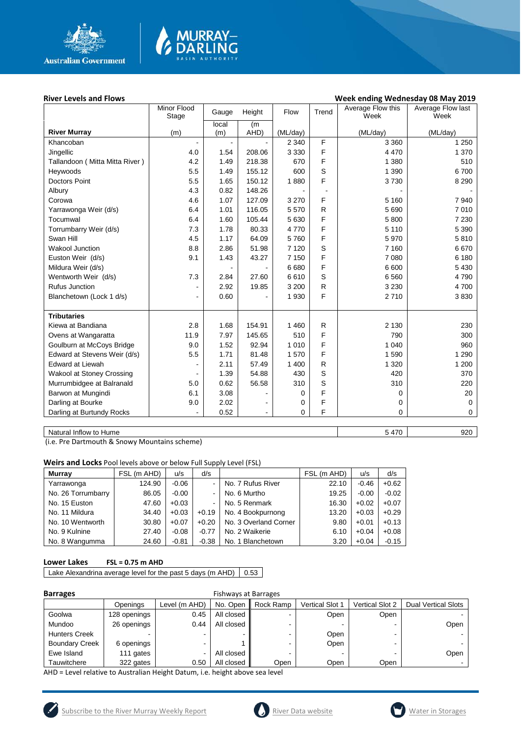

## **River Levels and Flows Week ending Wednesday 08 May 2019**

|                                | Minor Flood<br>Stage | Height<br>Gauge |        | Flow     | Trend        | Average Flow this<br>Week | Average Flow last<br>Week |
|--------------------------------|----------------------|-----------------|--------|----------|--------------|---------------------------|---------------------------|
|                                |                      | local           | (m     |          |              |                           |                           |
| <b>River Murray</b>            | (m)                  | (m)             | AHD)   | (ML/day) |              | (ML/day)                  | (ML/day)                  |
| Khancoban                      |                      | $\blacksquare$  |        | 2 3 4 0  | F            | 3 3 6 0                   | 1 2 5 0                   |
| Jingellic                      | 4.0                  | 1.54            | 208.06 | 3 3 3 0  | F            | 4 4 7 0                   | 1 370                     |
| Tallandoon (Mitta Mitta River) | 4.2                  | 1.49            | 218.38 | 670      | F            | 1 3 8 0                   | 510                       |
| Heywoods                       | 5.5                  | 1.49            | 155.12 | 600      | S            | 1 3 9 0                   | 6700                      |
| <b>Doctors Point</b>           | 5.5                  | 1.65            | 150.12 | 1880     | F            | 3730                      | 8 2 9 0                   |
| Albury                         | 4.3                  | 0.82            | 148.26 |          |              |                           |                           |
| Corowa                         | 4.6                  | 1.07            | 127.09 | 3 2 7 0  | F            | 5 1 6 0                   | 7940                      |
| Yarrawonga Weir (d/s)          | 6.4                  | 1.01            | 116.05 | 5570     | R            | 5690                      | 7 0 1 0                   |
| Tocumwal                       | 6.4                  | 1.60            | 105.44 | 5 6 30   | F            | 5 800                     | 7 2 3 0                   |
| Torrumbarry Weir (d/s)         | 7.3                  | 1.78            | 80.33  | 4770     | F            | 5 1 1 0                   | 5 3 9 0                   |
| Swan Hill                      | 4.5                  | 1.17            | 64.09  | 5760     | F            | 5970                      | 5810                      |
| <b>Wakool Junction</b>         | 8.8                  | 2.86            | 51.98  | 7 1 2 0  | S            | 7 1 6 0                   | 6670                      |
| Euston Weir (d/s)              | 9.1                  | 1.43            | 43.27  | 7 1 5 0  | F            | 7 0 8 0                   | 6 180                     |
| Mildura Weir (d/s)             |                      |                 |        | 6680     | F            | 6 600                     | 5 4 3 0                   |
| Wentworth Weir (d/s)           | 7.3                  | 2.84            | 27.60  | 6610     | S            | 6 5 6 0                   | 4790                      |
| <b>Rufus Junction</b>          |                      | 2.92            | 19.85  | 3 2 0 0  | $\mathsf{R}$ | 3 2 3 0                   | 4700                      |
| Blanchetown (Lock 1 d/s)       |                      | 0.60            |        | 1 9 3 0  | F            | 2710                      | 3830                      |
|                                |                      |                 |        |          |              |                           |                           |
| <b>Tributaries</b>             |                      |                 |        |          |              |                           |                           |
| Kiewa at Bandiana              | 2.8                  | 1.68            | 154.91 | 1 4 6 0  | R            | 2 1 3 0                   | 230                       |
| Ovens at Wangaratta            | 11.9                 | 7.97            | 145.65 | 510      | F            | 790                       | 300                       |
| Goulburn at McCoys Bridge      | 9.0                  | 1.52            | 92.94  | 1 0 1 0  | F            | 1 0 4 0                   | 960                       |
| Edward at Stevens Weir (d/s)   | 5.5                  | 1.71            | 81.48  | 1570     | F            | 1590                      | 1 2 9 0                   |
| <b>Edward at Liewah</b>        |                      | 2.11            | 57.49  | 1 400    | R            | 1 3 2 0                   | 1 200                     |
| Wakool at Stoney Crossing      |                      | 1.39            | 54.88  | 430      | S            | 420                       | 370                       |
| Murrumbidgee at Balranald      | 5.0                  | 0.62            | 56.58  | 310      | S            | 310                       | 220                       |
| Barwon at Mungindi             | 6.1                  | 3.08            |        | 0        | F            | 0                         | 20                        |
| Darling at Bourke              | 9.0                  | 2.02            |        | 0        | F            | 0                         | 0                         |
| Darling at Burtundy Rocks      |                      | 0.52            |        | 0        | F            | 0                         | 0                         |
|                                |                      |                 |        |          |              |                           |                           |

MURRAY-<br>DARLING

Natural Inflow to Hume 5 470 920

(i.e. Pre Dartmouth & Snowy Mountains scheme)

**Weirs and Locks** Pool levels above or below Full Supply Level (FSL)

| <b>Murray</b>      | FSL (m AHD) | u/s     | d/s                      |                       | FSL (m AHD) | u/s     | d/s     |
|--------------------|-------------|---------|--------------------------|-----------------------|-------------|---------|---------|
| Yarrawonga         | 124.90      | $-0.06$ |                          | No. 7 Rufus River     | 22.10       | $-0.46$ | $+0.62$ |
| No. 26 Torrumbarry | 86.05       | $-0.00$ | $\overline{\phantom{0}}$ | No. 6 Murtho          | 19.25       | $-0.00$ | $-0.02$ |
| No. 15 Euston      | 47.60       | $+0.03$ |                          | No. 5 Renmark         | 16.30       | $+0.02$ | $+0.07$ |
| No. 11 Mildura     | 34.40       | $+0.03$ | $+0.19$                  | No. 4 Bookpurnong     | 13.20       | $+0.03$ | $+0.29$ |
| No. 10 Wentworth   | 30.80       | $+0.07$ | $+0.20$                  | No. 3 Overland Corner | 9.80        | $+0.01$ | $+0.13$ |
| No. 9 Kulnine      | 27.40       | $-0.08$ | $-0.77$                  | No. 2 Waikerie        | 6.10        | $+0.04$ | $+0.08$ |
| No. 8 Wangumma     | 24.60       | $-0.81$ | $-0.38$                  | No. 1 Blanchetown     | 3.20        | $+0.04$ | $-0.15$ |

### **Lower Lakes FSL = 0.75 m AHD**

Lake Alexandrina average level for the past 5 days (m AHD)  $\Big| 0.53 \Big|$ 

| <b>Barrages</b>       | <b>Fishways at Barrages</b> |               |            |           |                 |                 |                            |  |
|-----------------------|-----------------------------|---------------|------------|-----------|-----------------|-----------------|----------------------------|--|
|                       | Openings                    | Level (m AHD) | No. Open   | Rock Ramp | Vertical Slot 1 | Vertical Slot 2 | <b>Dual Vertical Slots</b> |  |
| Goolwa                | 128 openings                | 0.45          | All closed |           | Open            | Open            |                            |  |
| Mundoo                | 26 openings                 | 0.44          | All closed |           |                 |                 | Open                       |  |
| <b>Hunters Creek</b>  |                             | -             |            |           | Open            | ۰               |                            |  |
| <b>Boundary Creek</b> | 6 openings                  |               |            |           | Open            | ۰               |                            |  |
| Ewe Island            | 111 gates                   | -             | All closed |           |                 |                 | Open                       |  |
| Tauwitchere           | 322 gates                   | 0.50          | All closed | Open      | Open            | Open            |                            |  |

AHD = Level relative to Australian Height Datum, i.e. height above sea level